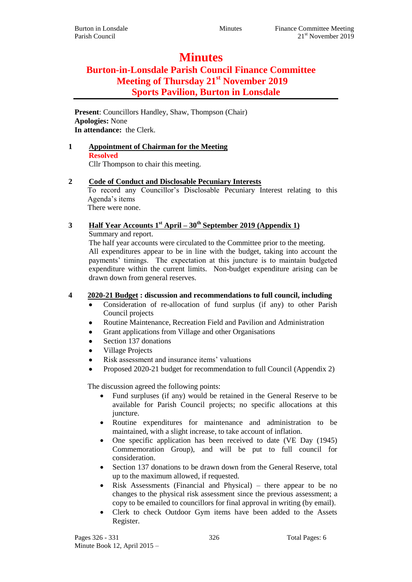# **Minutes**

# **Burton-in-Lonsdale Parish Council Finance Committee Meeting of Thursday 21st November 2019 Sports Pavilion, Burton in Lonsdale**

**Present**: Councillors Handley, Shaw, Thompson (Chair) **Apologies:** None **In attendance:** the Clerk.

#### **1 Appointment of Chairman for the Meeting Resolved** Cllr Thompson to chair this meeting.

#### **2 Code of Conduct and Disclosable Pecuniary Interests**

To record any Councillor's Disclosable Pecuniary Interest relating to this Agenda's items There were none.

# **3 Half Year Accounts 1st April – 30th September 2019 (Appendix 1)** Summary and report.

The half year accounts were circulated to the Committee prior to the meeting. All expenditures appear to be in line with the budget, taking into account the payments' timings. The expectation at this juncture is to maintain budgeted expenditure within the current limits. Non-budget expenditure arising can be drawn down from general reserves.

#### **4 2020-21 Budget : discussion and recommendations to full council, including**

- Consideration of re-allocation of fund surplus (if any) to other Parish Council projects
- Routine Maintenance, Recreation Field and Pavilion and Administration
- Grant applications from Village and other Organisations
- Section 137 donations
- Village Projects
- Risk assessment and insurance items' valuations
- Proposed 2020-21 budget for recommendation to full Council (Appendix 2)

The discussion agreed the following points:

- Fund surpluses (if any) would be retained in the General Reserve to be available for Parish Council projects; no specific allocations at this juncture.
- Routine expenditures for maintenance and administration to be maintained, with a slight increase, to take account of inflation.
- One specific application has been received to date (VE Day (1945) Commemoration Group), and will be put to full council for consideration.
- Section 137 donations to be drawn down from the General Reserve, total up to the maximum allowed, if requested.
- Risk Assessments (Financial and Physical) there appear to be no changes to the physical risk assessment since the previous assessment; a copy to be emailed to councillors for final approval in writing (by email).
- Clerk to check Outdoor Gym items have been added to the Assets Register.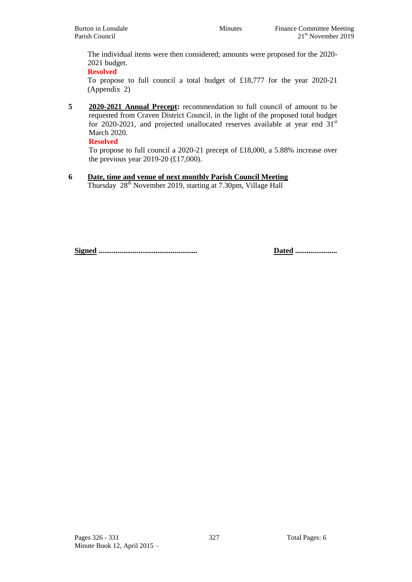The individual items were then considered; amounts were proposed for the 2020- 2021 budget.

**Resolved**

To propose to full council a total budget of £18,777 for the year 2020-21 (Appendix 2)

**5 2020-2021 Annual Precept:** recommendation to full council of amount to be requested from Craven District Council, in the light of the proposed total budget for 2020-2021, and projected unallocated reserves available at year end  $31<sup>st</sup>$ March 2020.

**Resolved**

To propose to full council a 2020-21 precept of £18,000, a 5.88% increase over the previous year 2019-20 (£17,000).

**6 Date, time and venue of next monthly Parish Council Meeting** Thursday 28<sup>th</sup> November 2019, starting at 7.30pm, Village Hall

**Signed .................................................... Dated ......................**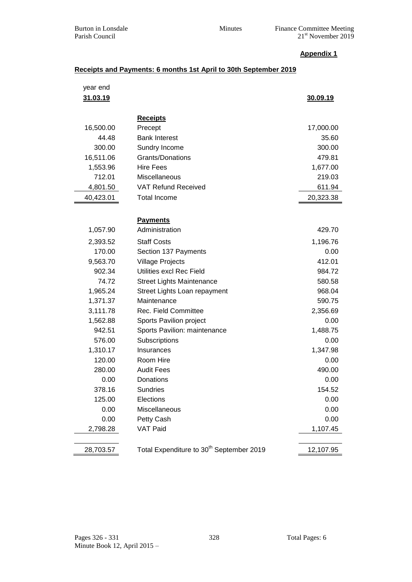#### **Appendix 1**

# **Receipts and Payments: 6 months 1st April to 30th September 2019**

| year end<br>31.03.19 |                                                      | 30.09.19  |
|----------------------|------------------------------------------------------|-----------|
|                      |                                                      |           |
|                      | <b>Receipts</b>                                      |           |
| 16,500.00            | Precept                                              | 17,000.00 |
| 44.48                | <b>Bank Interest</b>                                 | 35.60     |
| 300.00               | Sundry Income                                        | 300.00    |
| 16,511.06            | Grants/Donations                                     | 479.81    |
| 1,553.96             | <b>Hire Fees</b>                                     | 1,677.00  |
| 712.01               | Miscellaneous                                        | 219.03    |
| 4,801.50             | <b>VAT Refund Received</b>                           | 611.94    |
| 40,423.01            | <b>Total Income</b>                                  | 20,323.38 |
|                      |                                                      |           |
|                      | <b>Payments</b>                                      |           |
| 1,057.90             | Administration                                       | 429.70    |
| 2,393.52             | <b>Staff Costs</b>                                   | 1,196.76  |
| 170.00               | Section 137 Payments                                 | 0.00      |
| 9,563.70             | <b>Village Projects</b>                              | 412.01    |
| 902.34               | Utilities excl Rec Field                             | 984.72    |
| 74.72                | <b>Street Lights Maintenance</b>                     | 580.58    |
| 1,965.24             | Street Lights Loan repayment                         | 968.04    |
| 1,371.37             | Maintenance                                          | 590.75    |
| 3,111.78             | <b>Rec. Field Committee</b>                          | 2,356.69  |
| 1,562.88             | Sports Pavilion project                              | 0.00      |
| 942.51               | Sports Pavilion: maintenance                         | 1,488.75  |
| 576.00               | Subscriptions                                        | 0.00      |
| 1,310.17             | Insurances                                           | 1,347.98  |
| 120.00               | Room Hire                                            | 0.00      |
| 280.00               | <b>Audit Fees</b>                                    | 490.00    |
| 0.00                 | Donations                                            | 0.00      |
| 378.16               | <b>Sundries</b>                                      | 154.52    |
| 125.00               | Elections                                            | 0.00      |
| 0.00                 | Miscellaneous                                        | 0.00      |
| 0.00                 | Petty Cash                                           | 0.00      |
| 2,798.28             | VAT Paid                                             | 1,107.45  |
|                      |                                                      |           |
| 28,703.57            | Total Expenditure to 30 <sup>th</sup> September 2019 | 12,107.95 |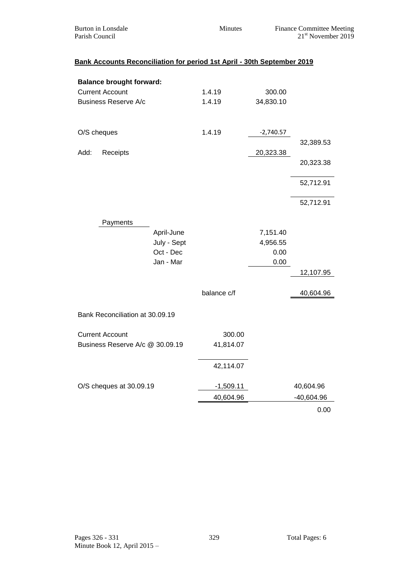| Burton in Lonsdale | <b>Minutes</b> | <b>Finance Committee Meeting</b> |
|--------------------|----------------|----------------------------------|
| Parish Council     |                | 21 <sup>st</sup> November 2019   |

|             | <b>Balance brought forward:</b><br><b>Current Account</b><br><b>Business Reserve A/c</b> |                                                     | 1.4.19<br>1.4.19 | 300.00<br>34,830.10                  |                        |
|-------------|------------------------------------------------------------------------------------------|-----------------------------------------------------|------------------|--------------------------------------|------------------------|
| O/S cheques |                                                                                          |                                                     | 1.4.19           | $-2,740.57$                          |                        |
| Add:        | Receipts                                                                                 |                                                     |                  |                                      | 32,389.53              |
|             |                                                                                          |                                                     |                  | 20,323.38                            | 20,323.38              |
|             |                                                                                          |                                                     |                  |                                      | 52,712.91              |
|             |                                                                                          |                                                     |                  |                                      | 52,712.91              |
|             | Payments                                                                                 | April-June<br>July - Sept<br>Oct - Dec<br>Jan - Mar | balance c/f      | 7,151.40<br>4,956.55<br>0.00<br>0.00 | 12,107.95<br>40,604.96 |
|             | Bank Reconciliation at 30.09.19                                                          |                                                     |                  |                                      |                        |
|             |                                                                                          |                                                     |                  |                                      |                        |
|             | <b>Current Account</b>                                                                   |                                                     | 300.00           |                                      |                        |
|             | Business Reserve A/c @ 30.09.19                                                          |                                                     | 41,814.07        |                                      |                        |
|             |                                                                                          |                                                     | 42,114.07        |                                      |                        |
|             | O/S cheques at 30.09.19                                                                  |                                                     | $-1,509.11$      |                                      | 40,604.96              |
|             |                                                                                          |                                                     | 40,604.96        |                                      | $-40,604.96$           |
|             |                                                                                          |                                                     |                  |                                      | 0.00                   |

# **Bank Accounts Reconciliation for period 1st April - 30th September 2019**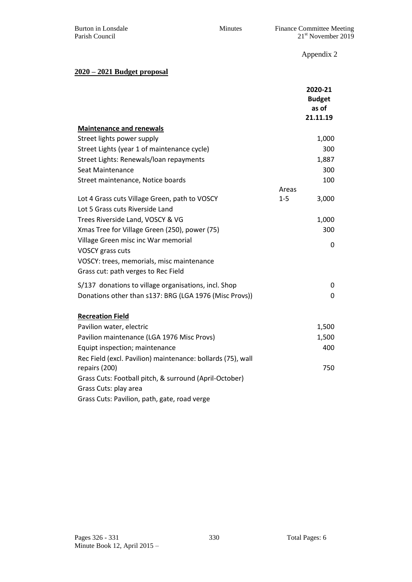Burton in Lonsdale Minutes Finance Committee Meeting Parish Council 21<sup>st</sup> November 2019

Appendix 2

#### **2020 – 2021 Budget proposal**

|                                                             |         | 2020-21<br><b>Budget</b><br>as of<br>21.11.19 |
|-------------------------------------------------------------|---------|-----------------------------------------------|
| <b>Maintenance and renewals</b>                             |         |                                               |
| Street lights power supply                                  |         | 1,000                                         |
| Street Lights (year 1 of maintenance cycle)                 |         | 300                                           |
| Street Lights: Renewals/loan repayments                     |         | 1,887                                         |
| <b>Seat Maintenance</b>                                     |         | 300                                           |
| Street maintenance, Notice boards                           |         | 100                                           |
|                                                             | Areas   |                                               |
| Lot 4 Grass cuts Village Green, path to VOSCY               | $1 - 5$ | 3,000                                         |
| Lot 5 Grass cuts Riverside Land                             |         |                                               |
| Trees Riverside Land, VOSCY & VG                            |         | 1,000                                         |
| Xmas Tree for Village Green (250), power (75)               |         | 300                                           |
| Village Green misc inc War memorial                         |         | 0                                             |
| VOSCY grass cuts                                            |         |                                               |
| VOSCY: trees, memorials, misc maintenance                   |         |                                               |
| Grass cut: path verges to Rec Field                         |         |                                               |
| S/137 donations to village organisations, incl. Shop        |         | 0                                             |
| Donations other than s137: BRG (LGA 1976 (Misc Provs))      |         | $\mathbf 0$                                   |
|                                                             |         |                                               |
| <b>Recreation Field</b>                                     |         |                                               |
| Pavilion water, electric                                    |         | 1,500                                         |
| Pavilion maintenance (LGA 1976 Misc Provs)                  |         | 1,500                                         |
| Equipt inspection; maintenance                              |         | 400                                           |
| Rec Field (excl. Pavilion) maintenance: bollards (75), wall |         |                                               |
| repairs (200)                                               |         | 750                                           |
| Grass Cuts: Football pitch, & surround (April-October)      |         |                                               |
| Grass Cuts: play area                                       |         |                                               |
| Grass Cuts: Pavilion, path, gate, road verge                |         |                                               |